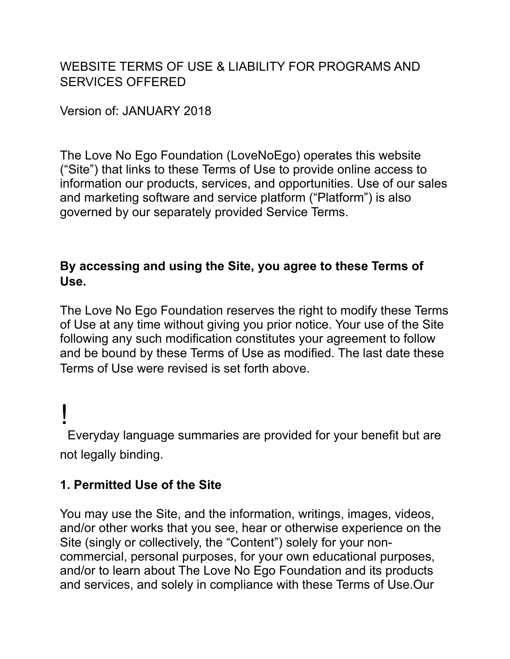WEBSITE TERMS OF USE & LIABILITY FOR PROGRAMS AND SERVICES OFFERED

Version of: JANUARY 2018

The Love No Ego Foundation (LoveNoEgo) operates this website ("Site") that links to these Terms of Use to provide online access to information our products, services, and opportunities. Use of our sales and marketing software and service platform ("Platform") is also governed by our separately provided Service Terms.

## **By accessing and using the Site, you agree to these Terms of Use.**

The Love No Ego Foundation reserves the right to modify these Terms of Use at any time without giving you prior notice. Your use of the Site following any such modification constitutes your agreement to follow and be bound by these Terms of Use as modified. The last date these Terms of Use were revised is set forth above.

! Everyday language summaries are provided for your benefit but are not legally binding.

# **1. Permitted Use of the Site**

You may use the Site, and the information, writings, images, videos, and/or other works that you see, hear or otherwise experience on the Site (singly or collectively, the "Content") solely for your noncommercial, personal purposes, for your own educational purposes, and/or to learn about The Love No Ego Foundation and its products and services, and solely in compliance with these Terms of Use.Our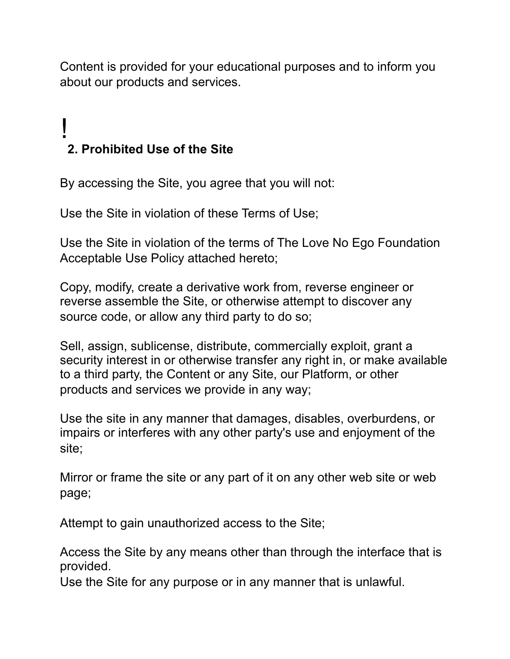Content is provided for your educational purposes and to inform you about our products and services.

# ! **2. Prohibited Use of the Site**

By accessing the Site, you agree that you will not:

Use the Site in violation of these Terms of Use;

Use the Site in violation of the terms of The Love No Ego Foundation Acceptable Use Policy attached hereto;

Copy, modify, create a derivative work from, reverse engineer or reverse assemble the Site, or otherwise attempt to discover any source code, or allow any third party to do so;

Sell, assign, sublicense, distribute, commercially exploit, grant a security interest in or otherwise transfer any right in, or make available to a third party, the Content or any Site, our Platform, or other products and services we provide in any way;

Use the site in any manner that damages, disables, overburdens, or impairs or interferes with any other party's use and enjoyment of the site;

Mirror or frame the site or any part of it on any other web site or web page;

Attempt to gain unauthorized access to the Site;

Access the Site by any means other than through the interface that is provided.

Use the Site for any purpose or in any manner that is unlawful.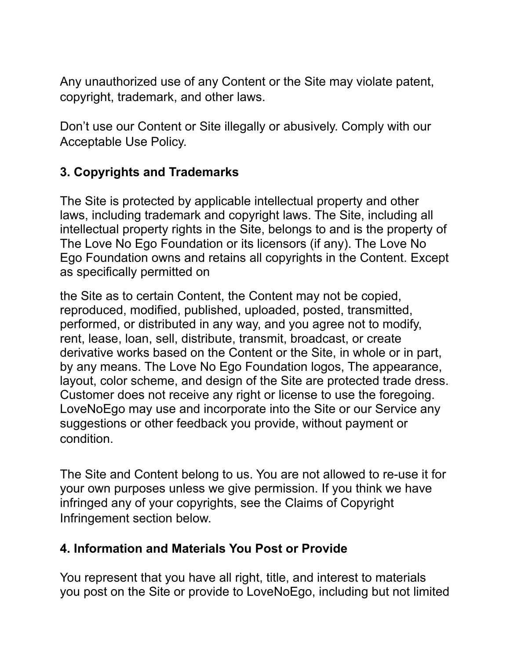Any unauthorized use of any Content or the Site may violate patent, copyright, trademark, and other laws.

Don't use our Content or Site illegally or abusively. Comply with our Acceptable Use Policy.

# **3. Copyrights and Trademarks**

The Site is protected by applicable intellectual property and other laws, including trademark and copyright laws. The Site, including all intellectual property rights in the Site, belongs to and is the property of The Love No Ego Foundation or its licensors (if any). The Love No Ego Foundation owns and retains all copyrights in the Content. Except as specifically permitted on

the Site as to certain Content, the Content may not be copied, reproduced, modified, published, uploaded, posted, transmitted, performed, or distributed in any way, and you agree not to modify, rent, lease, loan, sell, distribute, transmit, broadcast, or create derivative works based on the Content or the Site, in whole or in part, by any means. The Love No Ego Foundation logos, The appearance, layout, color scheme, and design of the Site are protected trade dress. Customer does not receive any right or license to use the foregoing. LoveNoEgo may use and incorporate into the Site or our Service any suggestions or other feedback you provide, without payment or condition.

The Site and Content belong to us. You are not allowed to re-use it for your own purposes unless we give permission. If you think we have infringed any of your copyrights, see the Claims of Copyright Infringement section below.

## **4. Information and Materials You Post or Provide**

You represent that you have all right, title, and interest to materials you post on the Site or provide to LoveNoEgo, including but not limited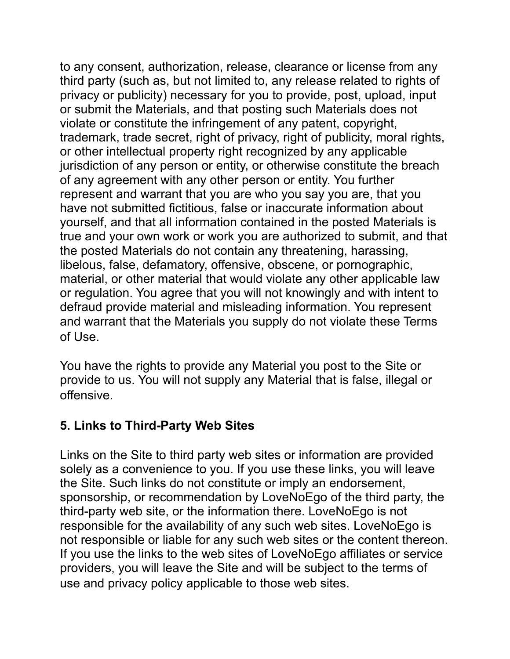to any consent, authorization, release, clearance or license from any third party (such as, but not limited to, any release related to rights of privacy or publicity) necessary for you to provide, post, upload, input or submit the Materials, and that posting such Materials does not violate or constitute the infringement of any patent, copyright, trademark, trade secret, right of privacy, right of publicity, moral rights, or other intellectual property right recognized by any applicable jurisdiction of any person or entity, or otherwise constitute the breach of any agreement with any other person or entity. You further represent and warrant that you are who you say you are, that you have not submitted fictitious, false or inaccurate information about yourself, and that all information contained in the posted Materials is true and your own work or work you are authorized to submit, and that the posted Materials do not contain any threatening, harassing, libelous, false, defamatory, offensive, obscene, or pornographic, material, or other material that would violate any other applicable law or regulation. You agree that you will not knowingly and with intent to defraud provide material and misleading information. You represent and warrant that the Materials you supply do not violate these Terms of Use.

You have the rights to provide any Material you post to the Site or provide to us. You will not supply any Material that is false, illegal or offensive.

## **5. Links to Third-Party Web Sites**

Links on the Site to third party web sites or information are provided solely as a convenience to you. If you use these links, you will leave the Site. Such links do not constitute or imply an endorsement, sponsorship, or recommendation by LoveNoEgo of the third party, the third-party web site, or the information there. LoveNoEgo is not responsible for the availability of any such web sites. LoveNoEgo is not responsible or liable for any such web sites or the content thereon. If you use the links to the web sites of LoveNoEgo affiliates or service providers, you will leave the Site and will be subject to the terms of use and privacy policy applicable to those web sites.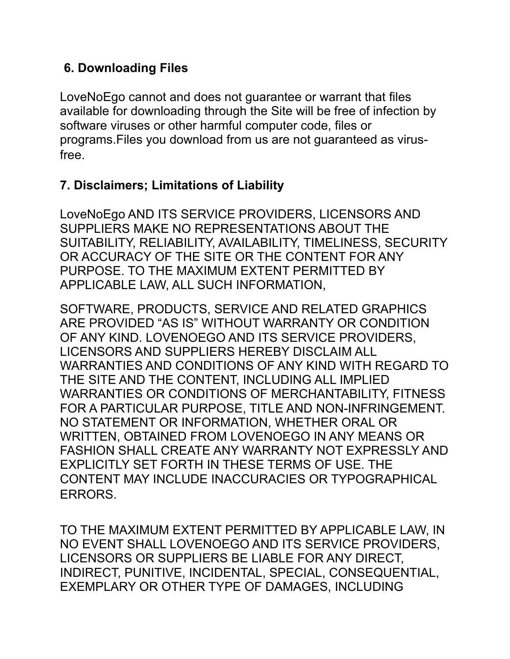# **6. Downloading Files**

LoveNoEgo cannot and does not guarantee or warrant that files available for downloading through the Site will be free of infection by software viruses or other harmful computer code, files or programs.Files you download from us are not guaranteed as virusfree.

## **7. Disclaimers; Limitations of Liability**

LoveNoEgo AND ITS SERVICE PROVIDERS, LICENSORS AND SUPPLIERS MAKE NO REPRESENTATIONS ABOUT THE SUITABILITY, RELIABILITY, AVAILABILITY, TIMELINESS, SECURITY OR ACCURACY OF THE SITE OR THE CONTENT FOR ANY PURPOSE. TO THE MAXIMUM EXTENT PERMITTED BY APPLICABLE LAW, ALL SUCH INFORMATION,

SOFTWARE, PRODUCTS, SERVICE AND RELATED GRAPHICS ARE PROVIDED "AS IS" WITHOUT WARRANTY OR CONDITION OF ANY KIND. LOVENOEGO AND ITS SERVICE PROVIDERS, LICENSORS AND SUPPLIERS HEREBY DISCLAIM ALL WARRANTIES AND CONDITIONS OF ANY KIND WITH REGARD TO THE SITE AND THE CONTENT, INCLUDING ALL IMPLIED WARRANTIES OR CONDITIONS OF MERCHANTABILITY, FITNESS FOR A PARTICULAR PURPOSE, TITLE AND NON-INFRINGEMENT. NO STATEMENT OR INFORMATION, WHETHER ORAL OR WRITTEN, OBTAINED FROM LOVENOEGO IN ANY MEANS OR FASHION SHALL CREATE ANY WARRANTY NOT EXPRESSLY AND EXPLICITLY SET FORTH IN THESE TERMS OF USE. THE CONTENT MAY INCLUDE INACCURACIES OR TYPOGRAPHICAL ERRORS.

TO THE MAXIMUM EXTENT PERMITTED BY APPLICABLE LAW, IN NO EVENT SHALL LOVENOEGO AND ITS SERVICE PROVIDERS, LICENSORS OR SUPPLIERS BE LIABLE FOR ANY DIRECT, INDIRECT, PUNITIVE, INCIDENTAL, SPECIAL, CONSEQUENTIAL, EXEMPLARY OR OTHER TYPE OF DAMAGES, INCLUDING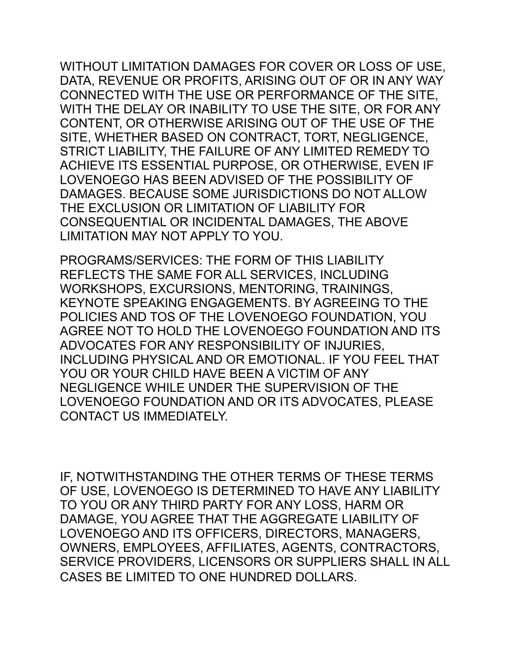WITHOUT LIMITATION DAMAGES FOR COVER OR LOSS OF USE, DATA, REVENUE OR PROFITS, ARISING OUT OF OR IN ANY WAY CONNECTED WITH THE USE OR PERFORMANCE OF THE SITE, WITH THE DELAY OR INABILITY TO USE THE SITE, OR FOR ANY CONTENT, OR OTHERWISE ARISING OUT OF THE USE OF THE SITE, WHETHER BASED ON CONTRACT, TORT, NEGLIGENCE, STRICT LIABILITY, THE FAILURE OF ANY LIMITED REMEDY TO ACHIEVE ITS ESSENTIAL PURPOSE, OR OTHERWISE, EVEN IF LOVENOEGO HAS BEEN ADVISED OF THE POSSIBILITY OF DAMAGES. BECAUSE SOME JURISDICTIONS DO NOT ALLOW THE EXCLUSION OR LIMITATION OF LIABILITY FOR CONSEQUENTIAL OR INCIDENTAL DAMAGES, THE ABOVE LIMITATION MAY NOT APPLY TO YOU.

PROGRAMS/SERVICES: THE FORM OF THIS LIABILITY REFLECTS THE SAME FOR ALL SERVICES, INCLUDING WORKSHOPS, EXCURSIONS, MENTORING, TRAININGS, KEYNOTE SPEAKING ENGAGEMENTS. BY AGREEING TO THE POLICIES AND TOS OF THE LOVENOEGO FOUNDATION, YOU AGREE NOT TO HOLD THE LOVENOEGO FOUNDATION AND ITS ADVOCATES FOR ANY RESPONSIBILITY OF INJURIES, INCLUDING PHYSICAL AND OR EMOTIONAL. IF YOU FEEL THAT YOU OR YOUR CHILD HAVE BEEN A VICTIM OF ANY NEGLIGENCE WHILE UNDER THE SUPERVISION OF THE LOVENOEGO FOUNDATION AND OR ITS ADVOCATES, PLEASE CONTACT US IMMEDIATELY.

IF, NOTWITHSTANDING THE OTHER TERMS OF THESE TERMS OF USE, LOVENOEGO IS DETERMINED TO HAVE ANY LIABILITY TO YOU OR ANY THIRD PARTY FOR ANY LOSS, HARM OR DAMAGE, YOU AGREE THAT THE AGGREGATE LIABILITY OF LOVENOEGO AND ITS OFFICERS, DIRECTORS, MANAGERS, OWNERS, EMPLOYEES, AFFILIATES, AGENTS, CONTRACTORS, SERVICE PROVIDERS, LICENSORS OR SUPPLIERS SHALL IN ALL CASES BE LIMITED TO ONE HUNDRED DOLLARS.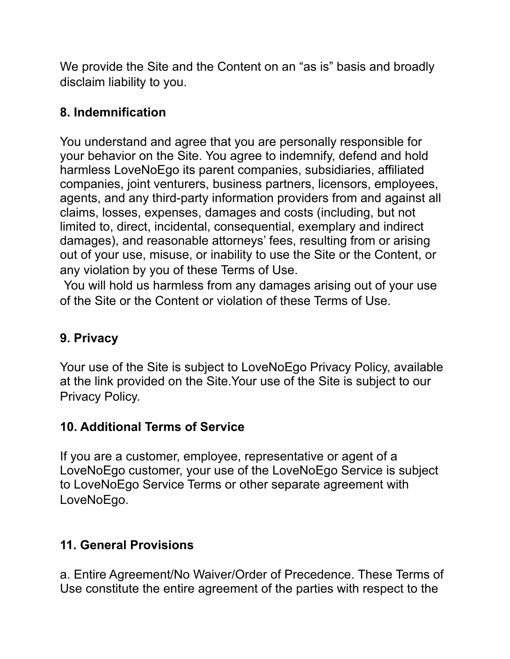We provide the Site and the Content on an "as is" basis and broadly disclaim liability to you.

## **8. Indemnification**

You understand and agree that you are personally responsible for your behavior on the Site. You agree to indemnify, defend and hold harmless LoveNoEgo its parent companies, subsidiaries, affiliated companies, joint venturers, business partners, licensors, employees, agents, and any third-party information providers from and against all claims, losses, expenses, damages and costs (including, but not limited to, direct, incidental, consequential, exemplary and indirect damages), and reasonable attorneys' fees, resulting from or arising out of your use, misuse, or inability to use the Site or the Content, or any violation by you of these Terms of Use.

You will hold us harmless from any damages arising out of your use of the Site or the Content or violation of these Terms of Use.

# **9. Privacy**

Your use of the Site is subject to LoveNoEgo Privacy Policy, available at the link provided on the Site.Your use of the Site is subject to our Privacy Policy.

# **10. Additional Terms of Service**

If you are a customer, employee, representative or agent of a LoveNoEgo customer, your use of the LoveNoEgo Service is subject to LoveNoEgo Service Terms or other separate agreement with LoveNoEgo.

# **11. General Provisions**

a. Entire Agreement/No Waiver/Order of Precedence. These Terms of Use constitute the entire agreement of the parties with respect to the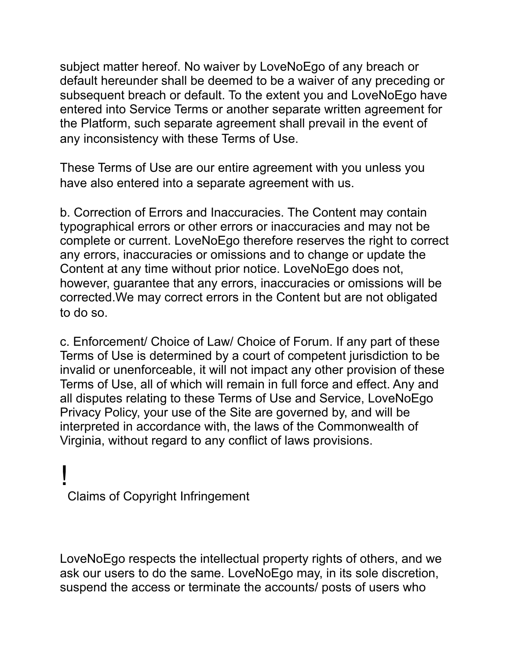subject matter hereof. No waiver by LoveNoEgo of any breach or default hereunder shall be deemed to be a waiver of any preceding or subsequent breach or default. To the extent you and LoveNoEgo have entered into Service Terms or another separate written agreement for the Platform, such separate agreement shall prevail in the event of any inconsistency with these Terms of Use.

These Terms of Use are our entire agreement with you unless you have also entered into a separate agreement with us.

b. Correction of Errors and Inaccuracies. The Content may contain typographical errors or other errors or inaccuracies and may not be complete or current. LoveNoEgo therefore reserves the right to correct any errors, inaccuracies or omissions and to change or update the Content at any time without prior notice. LoveNoEgo does not, however, guarantee that any errors, inaccuracies or omissions will be corrected.We may correct errors in the Content but are not obligated to do so.

c. Enforcement/ Choice of Law/ Choice of Forum. If any part of these Terms of Use is determined by a court of competent jurisdiction to be invalid or unenforceable, it will not impact any other provision of these Terms of Use, all of which will remain in full force and effect. Any and all disputes relating to these Terms of Use and Service, LoveNoEgo Privacy Policy, your use of the Site are governed by, and will be interpreted in accordance with, the laws of the Commonwealth of Virginia, without regard to any conflict of laws provisions.

# ! Claims of Copyright Infringement

LoveNoEgo respects the intellectual property rights of others, and we ask our users to do the same. LoveNoEgo may, in its sole discretion, suspend the access or terminate the accounts/ posts of users who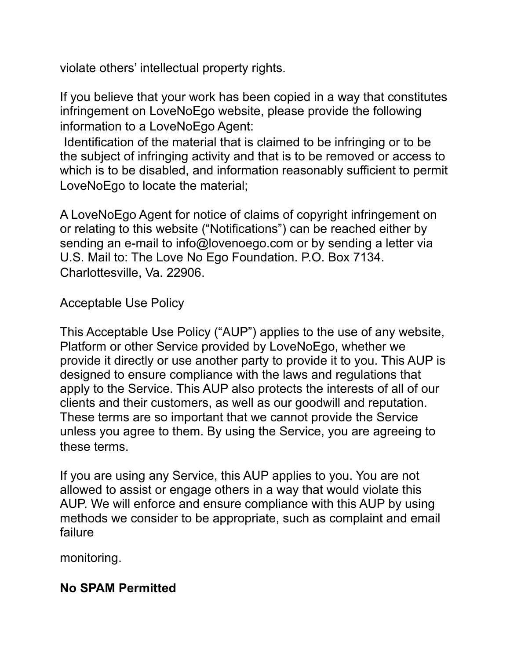violate others' intellectual property rights.

If you believe that your work has been copied in a way that constitutes infringement on LoveNoEgo website, please provide the following information to a LoveNoEgo Agent:

Identification of the material that is claimed to be infringing or to be the subject of infringing activity and that is to be removed or access to which is to be disabled, and information reasonably sufficient to permit LoveNoEgo to locate the material;

A LoveNoEgo Agent for notice of claims of copyright infringement on or relating to this website ("Notifications") can be reached either by sending an e-mail to info@lovenoego.com or by sending a letter via U.S. Mail to: The Love No Ego Foundation. P.O. Box 7134. Charlottesville, Va. 22906.

Acceptable Use Policy

This Acceptable Use Policy ("AUP") applies to the use of any website, Platform or other Service provided by LoveNoEgo, whether we provide it directly or use another party to provide it to you. This AUP is designed to ensure compliance with the laws and regulations that apply to the Service. This AUP also protects the interests of all of our clients and their customers, as well as our goodwill and reputation. These terms are so important that we cannot provide the Service unless you agree to them. By using the Service, you are agreeing to these terms.

If you are using any Service, this AUP applies to you. You are not allowed to assist or engage others in a way that would violate this AUP. We will enforce and ensure compliance with this AUP by using methods we consider to be appropriate, such as complaint and email failure

monitoring.

## **No SPAM Permitted**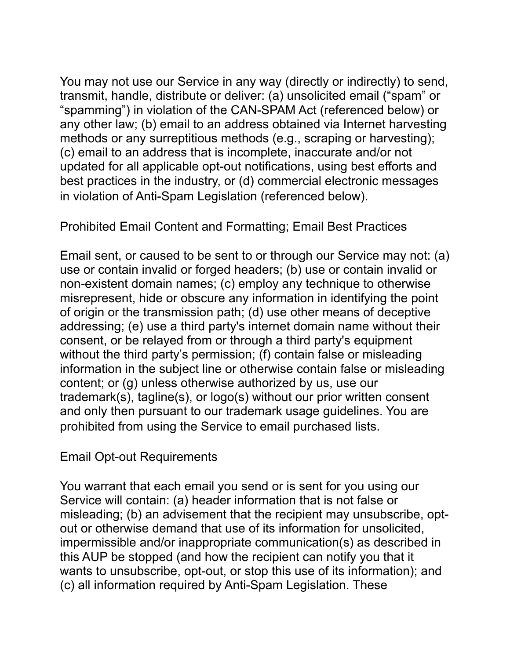You may not use our Service in any way (directly or indirectly) to send, transmit, handle, distribute or deliver: (a) unsolicited email ("spam" or "spamming") in violation of the CAN-SPAM Act (referenced below) or any other law; (b) email to an address obtained via Internet harvesting methods or any surreptitious methods (e.g., scraping or harvesting); (c) email to an address that is incomplete, inaccurate and/or not updated for all applicable opt-out notifications, using best efforts and best practices in the industry, or (d) commercial electronic messages in violation of Anti-Spam Legislation (referenced below).

Prohibited Email Content and Formatting; Email Best Practices

Email sent, or caused to be sent to or through our Service may not: (a) use or contain invalid or forged headers; (b) use or contain invalid or non-existent domain names; (c) employ any technique to otherwise misrepresent, hide or obscure any information in identifying the point of origin or the transmission path; (d) use other means of deceptive addressing; (e) use a third party's internet domain name without their consent, or be relayed from or through a third party's equipment without the third party's permission; (f) contain false or misleading information in the subject line or otherwise contain false or misleading content; or (g) unless otherwise authorized by us, use our trademark(s), tagline(s), or logo(s) without our prior written consent and only then pursuant to our trademark usage guidelines. You are prohibited from using the Service to email purchased lists.

Email Opt-out Requirements

You warrant that each email you send or is sent for you using our Service will contain: (a) header information that is not false or misleading; (b) an advisement that the recipient may unsubscribe, optout or otherwise demand that use of its information for unsolicited, impermissible and/or inappropriate communication(s) as described in this AUP be stopped (and how the recipient can notify you that it wants to unsubscribe, opt-out, or stop this use of its information); and (c) all information required by Anti-Spam Legislation. These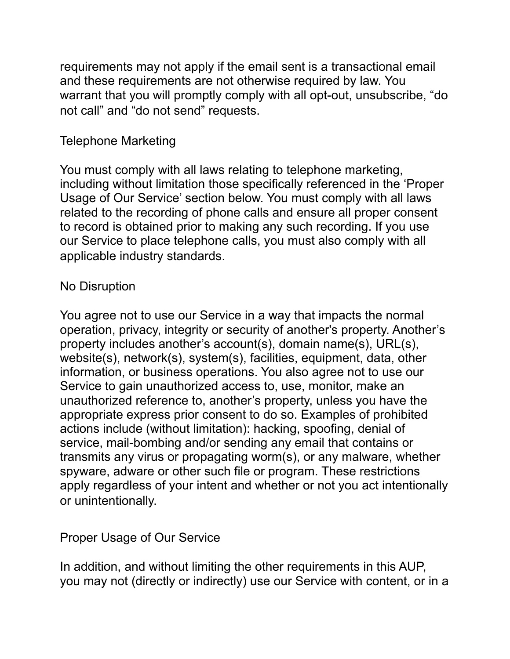requirements may not apply if the email sent is a transactional email and these requirements are not otherwise required by law. You warrant that you will promptly comply with all opt-out, unsubscribe, "do not call" and "do not send" requests.

#### Telephone Marketing

You must comply with all laws relating to telephone marketing, including without limitation those specifically referenced in the 'Proper Usage of Our Service' section below. You must comply with all laws related to the recording of phone calls and ensure all proper consent to record is obtained prior to making any such recording. If you use our Service to place telephone calls, you must also comply with all applicable industry standards.

## No Disruption

You agree not to use our Service in a way that impacts the normal operation, privacy, integrity or security of another's property. Another's property includes another's account(s), domain name(s), URL(s), website(s), network(s), system(s), facilities, equipment, data, other information, or business operations. You also agree not to use our Service to gain unauthorized access to, use, monitor, make an unauthorized reference to, another's property, unless you have the appropriate express prior consent to do so. Examples of prohibited actions include (without limitation): hacking, spoofing, denial of service, mail-bombing and/or sending any email that contains or transmits any virus or propagating worm(s), or any malware, whether spyware, adware or other such file or program. These restrictions apply regardless of your intent and whether or not you act intentionally or unintentionally.

Proper Usage of Our Service

In addition, and without limiting the other requirements in this AUP, you may not (directly or indirectly) use our Service with content, or in a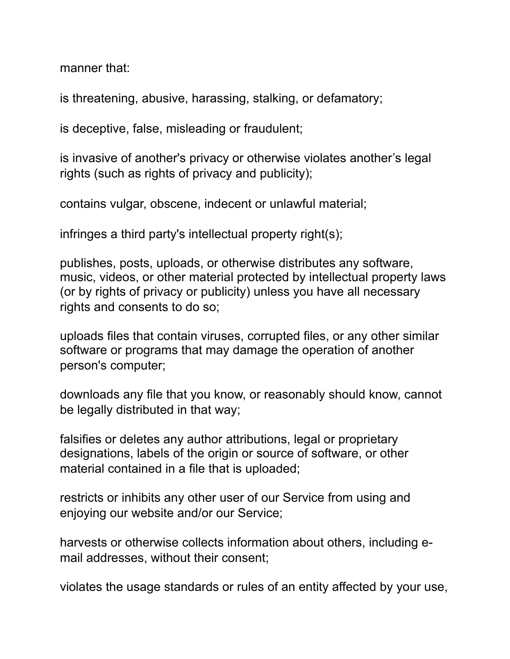manner that:

is threatening, abusive, harassing, stalking, or defamatory;

is deceptive, false, misleading or fraudulent;

is invasive of another's privacy or otherwise violates another's legal rights (such as rights of privacy and publicity);

contains vulgar, obscene, indecent or unlawful material;

infringes a third party's intellectual property right(s);

publishes, posts, uploads, or otherwise distributes any software, music, videos, or other material protected by intellectual property laws (or by rights of privacy or publicity) unless you have all necessary rights and consents to do so;

uploads files that contain viruses, corrupted files, or any other similar software or programs that may damage the operation of another person's computer;

downloads any file that you know, or reasonably should know, cannot be legally distributed in that way;

falsifies or deletes any author attributions, legal or proprietary designations, labels of the origin or source of software, or other material contained in a file that is uploaded;

restricts or inhibits any other user of our Service from using and enjoying our website and/or our Service;

harvests or otherwise collects information about others, including email addresses, without their consent;

violates the usage standards or rules of an entity affected by your use,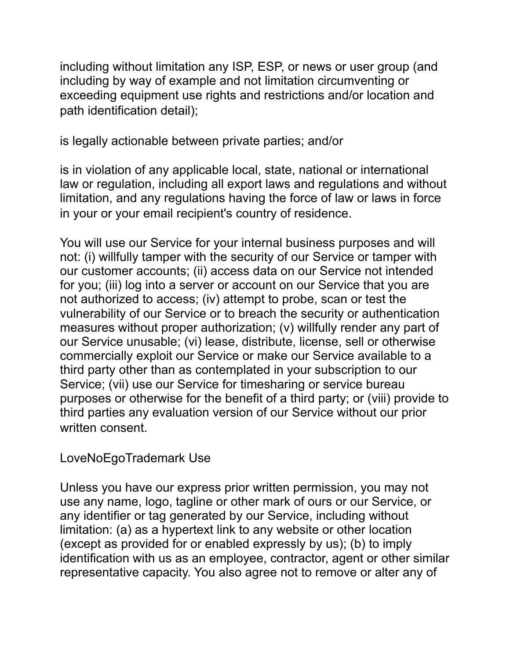including without limitation any ISP, ESP, or news or user group (and including by way of example and not limitation circumventing or exceeding equipment use rights and restrictions and/or location and path identification detail);

is legally actionable between private parties; and/or

is in violation of any applicable local, state, national or international law or regulation, including all export laws and regulations and without limitation, and any regulations having the force of law or laws in force in your or your email recipient's country of residence.

You will use our Service for your internal business purposes and will not: (i) willfully tamper with the security of our Service or tamper with our customer accounts; (ii) access data on our Service not intended for you; (iii) log into a server or account on our Service that you are not authorized to access; (iv) attempt to probe, scan or test the vulnerability of our Service or to breach the security or authentication measures without proper authorization; (v) willfully render any part of our Service unusable; (vi) lease, distribute, license, sell or otherwise commercially exploit our Service or make our Service available to a third party other than as contemplated in your subscription to our Service; (vii) use our Service for timesharing or service bureau purposes or otherwise for the benefit of a third party; or (viii) provide to third parties any evaluation version of our Service without our prior written consent.

LoveNoEgoTrademark Use

Unless you have our express prior written permission, you may not use any name, logo, tagline or other mark of ours or our Service, or any identifier or tag generated by our Service, including without limitation: (a) as a hypertext link to any website or other location (except as provided for or enabled expressly by us); (b) to imply identification with us as an employee, contractor, agent or other similar representative capacity. You also agree not to remove or alter any of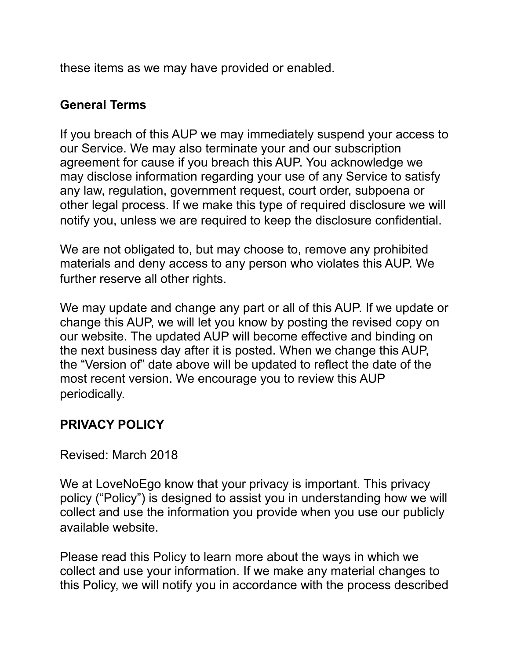these items as we may have provided or enabled.

#### **General Terms**

If you breach of this AUP we may immediately suspend your access to our Service. We may also terminate your and our subscription agreement for cause if you breach this AUP. You acknowledge we may disclose information regarding your use of any Service to satisfy any law, regulation, government request, court order, subpoena or other legal process. If we make this type of required disclosure we will notify you, unless we are required to keep the disclosure confidential.

We are not obligated to, but may choose to, remove any prohibited materials and deny access to any person who violates this AUP. We further reserve all other rights.

We may update and change any part or all of this AUP. If we update or change this AUP, we will let you know by posting the revised copy on our website. The updated AUP will become effective and binding on the next business day after it is posted. When we change this AUP, the "Version of" date above will be updated to reflect the date of the most recent version. We encourage you to review this AUP periodically.

## **PRIVACY POLICY**

Revised: March 2018

We at LoveNoEgo know that your privacy is important. This privacy policy ("Policy") is designed to assist you in understanding how we will collect and use the information you provide when you use our publicly available website.

Please read this Policy to learn more about the ways in which we collect and use your information. If we make any material changes to this Policy, we will notify you in accordance with the process described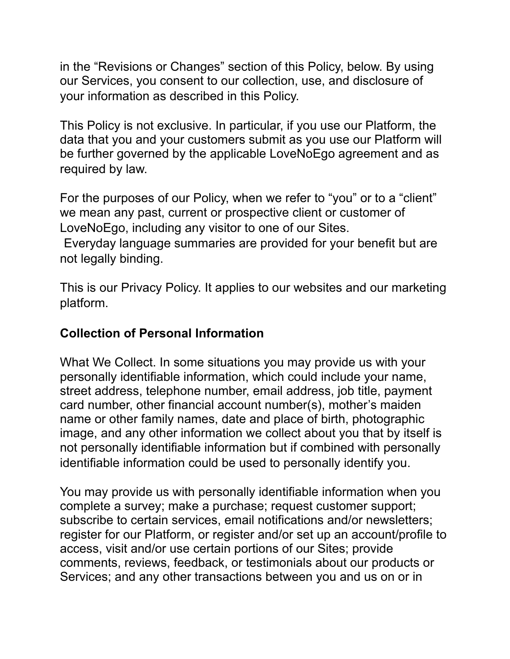in the "Revisions or Changes" section of this Policy, below. By using our Services, you consent to our collection, use, and disclosure of your information as described in this Policy.

This Policy is not exclusive. In particular, if you use our Platform, the data that you and your customers submit as you use our Platform will be further governed by the applicable LoveNoEgo agreement and as required by law.

For the purposes of our Policy, when we refer to "you" or to a "client" we mean any past, current or prospective client or customer of LoveNoEgo, including any visitor to one of our Sites.

Everyday language summaries are provided for your benefit but are not legally binding.

This is our Privacy Policy. It applies to our websites and our marketing platform.

## **Collection of Personal Information**

What We Collect. In some situations you may provide us with your personally identifiable information, which could include your name, street address, telephone number, email address, job title, payment card number, other financial account number(s), mother's maiden name or other family names, date and place of birth, photographic image, and any other information we collect about you that by itself is not personally identifiable information but if combined with personally identifiable information could be used to personally identify you.

You may provide us with personally identifiable information when you complete a survey; make a purchase; request customer support; subscribe to certain services, email notifications and/or newsletters; register for our Platform, or register and/or set up an account/profile to access, visit and/or use certain portions of our Sites; provide comments, reviews, feedback, or testimonials about our products or Services; and any other transactions between you and us on or in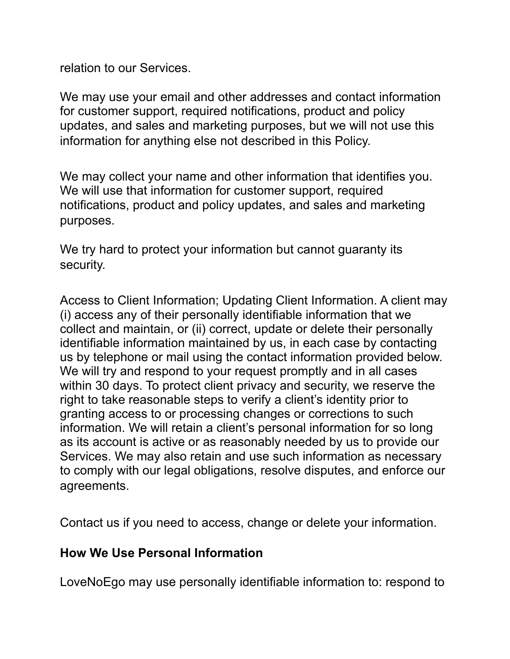relation to our Services.

We may use your email and other addresses and contact information for customer support, required notifications, product and policy updates, and sales and marketing purposes, but we will not use this information for anything else not described in this Policy.

We may collect your name and other information that identifies you. We will use that information for customer support, required notifications, product and policy updates, and sales and marketing purposes.

We try hard to protect your information but cannot quaranty its security.

Access to Client Information; Updating Client Information. A client may (i) access any of their personally identifiable information that we collect and maintain, or (ii) correct, update or delete their personally identifiable information maintained by us, in each case by contacting us by telephone or mail using the contact information provided below. We will try and respond to your request promptly and in all cases within 30 days. To protect client privacy and security, we reserve the right to take reasonable steps to verify a client's identity prior to granting access to or processing changes or corrections to such information. We will retain a client's personal information for so long as its account is active or as reasonably needed by us to provide our Services. We may also retain and use such information as necessary to comply with our legal obligations, resolve disputes, and enforce our agreements.

Contact us if you need to access, change or delete your information.

#### **How We Use Personal Information**

LoveNoEgo may use personally identifiable information to: respond to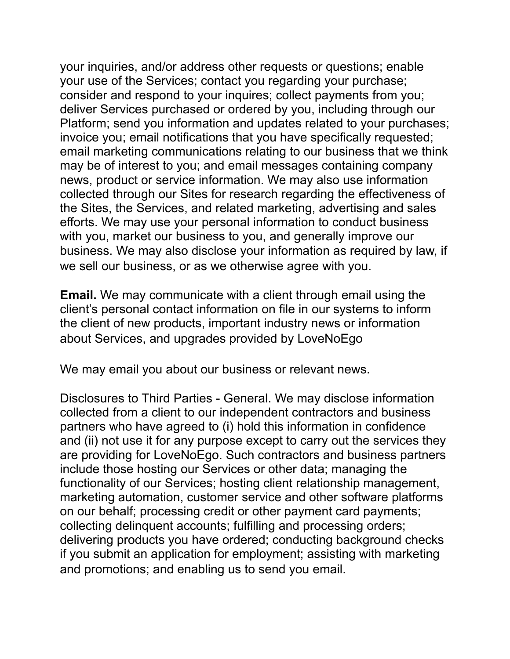your inquiries, and/or address other requests or questions; enable your use of the Services; contact you regarding your purchase; consider and respond to your inquires; collect payments from you; deliver Services purchased or ordered by you, including through our Platform; send you information and updates related to your purchases; invoice you; email notifications that you have specifically requested; email marketing communications relating to our business that we think may be of interest to you; and email messages containing company news, product or service information. We may also use information collected through our Sites for research regarding the effectiveness of the Sites, the Services, and related marketing, advertising and sales efforts. We may use your personal information to conduct business with you, market our business to you, and generally improve our business. We may also disclose your information as required by law, if we sell our business, or as we otherwise agree with you.

**Email.** We may communicate with a client through email using the client's personal contact information on file in our systems to inform the client of new products, important industry news or information about Services, and upgrades provided by LoveNoEgo

We may email you about our business or relevant news.

Disclosures to Third Parties - General. We may disclose information collected from a client to our independent contractors and business partners who have agreed to (i) hold this information in confidence and (ii) not use it for any purpose except to carry out the services they are providing for LoveNoEgo. Such contractors and business partners include those hosting our Services or other data; managing the functionality of our Services; hosting client relationship management, marketing automation, customer service and other software platforms on our behalf; processing credit or other payment card payments; collecting delinquent accounts; fulfilling and processing orders; delivering products you have ordered; conducting background checks if you submit an application for employment; assisting with marketing and promotions; and enabling us to send you email.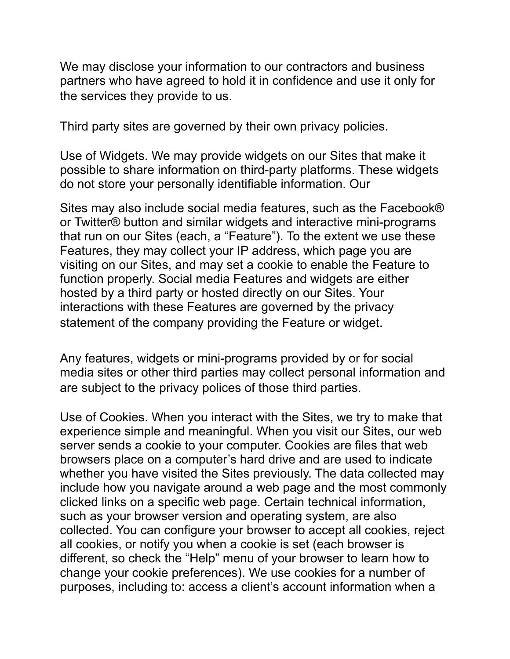We may disclose your information to our contractors and business partners who have agreed to hold it in confidence and use it only for the services they provide to us.

Third party sites are governed by their own privacy policies.

Use of Widgets. We may provide widgets on our Sites that make it possible to share information on third-party platforms. These widgets do not store your personally identifiable information. Our

Sites may also include social media features, such as the Facebook® or Twitter® button and similar widgets and interactive mini-programs that run on our Sites (each, a "Feature"). To the extent we use these Features, they may collect your IP address, which page you are visiting on our Sites, and may set a cookie to enable the Feature to function properly. Social media Features and widgets are either hosted by a third party or hosted directly on our Sites. Your interactions with these Features are governed by the privacy statement of the company providing the Feature or widget.

Any features, widgets or mini-programs provided by or for social media sites or other third parties may collect personal information and are subject to the privacy polices of those third parties.

Use of Cookies. When you interact with the Sites, we try to make that experience simple and meaningful. When you visit our Sites, our web server sends a cookie to your computer. Cookies are files that web browsers place on a computer's hard drive and are used to indicate whether you have visited the Sites previously. The data collected may include how you navigate around a web page and the most commonly clicked links on a specific web page. Certain technical information, such as your browser version and operating system, are also collected. You can configure your browser to accept all cookies, reject all cookies, or notify you when a cookie is set (each browser is different, so check the "Help" menu of your browser to learn how to change your cookie preferences). We use cookies for a number of purposes, including to: access a client's account information when a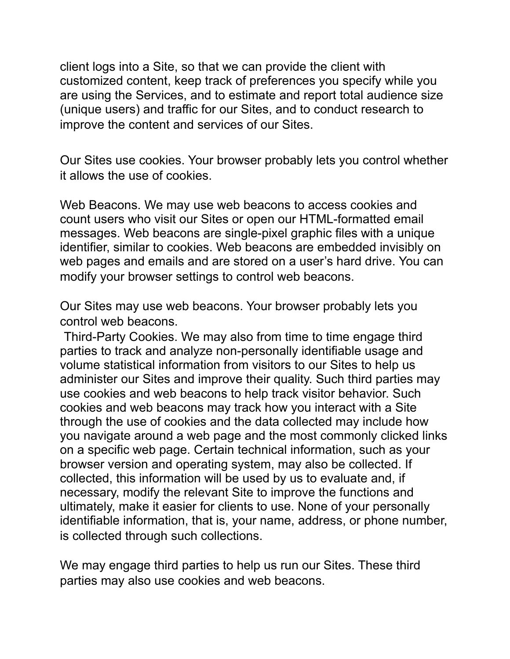client logs into a Site, so that we can provide the client with customized content, keep track of preferences you specify while you are using the Services, and to estimate and report total audience size (unique users) and traffic for our Sites, and to conduct research to improve the content and services of our Sites.

Our Sites use cookies. Your browser probably lets you control whether it allows the use of cookies.

Web Beacons. We may use web beacons to access cookies and count users who visit our Sites or open our HTML-formatted email messages. Web beacons are single-pixel graphic files with a unique identifier, similar to cookies. Web beacons are embedded invisibly on web pages and emails and are stored on a user's hard drive. You can modify your browser settings to control web beacons.

Our Sites may use web beacons. Your browser probably lets you control web beacons.

Third-Party Cookies. We may also from time to time engage third parties to track and analyze non-personally identifiable usage and volume statistical information from visitors to our Sites to help us administer our Sites and improve their quality. Such third parties may use cookies and web beacons to help track visitor behavior. Such cookies and web beacons may track how you interact with a Site through the use of cookies and the data collected may include how you navigate around a web page and the most commonly clicked links on a specific web page. Certain technical information, such as your browser version and operating system, may also be collected. If collected, this information will be used by us to evaluate and, if necessary, modify the relevant Site to improve the functions and ultimately, make it easier for clients to use. None of your personally identifiable information, that is, your name, address, or phone number, is collected through such collections.

We may engage third parties to help us run our Sites. These third parties may also use cookies and web beacons.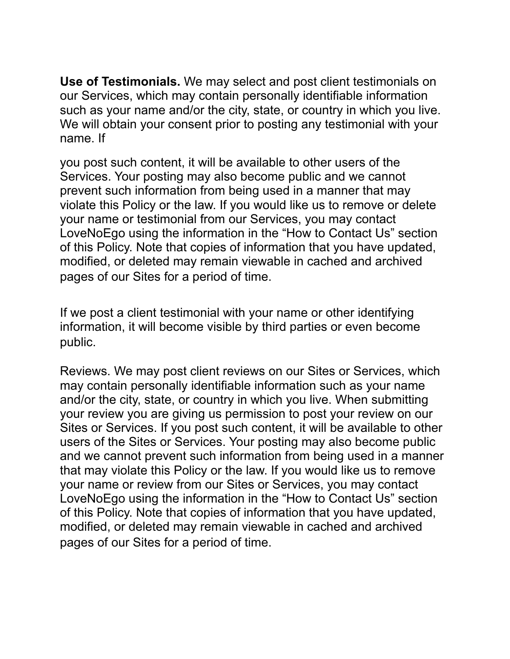**Use of Testimonials.** We may select and post client testimonials on our Services, which may contain personally identifiable information such as your name and/or the city, state, or country in which you live. We will obtain your consent prior to posting any testimonial with your name. If

you post such content, it will be available to other users of the Services. Your posting may also become public and we cannot prevent such information from being used in a manner that may violate this Policy or the law. If you would like us to remove or delete your name or testimonial from our Services, you may contact LoveNoEgo using the information in the "How to Contact Us" section of this Policy. Note that copies of information that you have updated, modified, or deleted may remain viewable in cached and archived pages of our Sites for a period of time.

If we post a client testimonial with your name or other identifying information, it will become visible by third parties or even become public.

Reviews. We may post client reviews on our Sites or Services, which may contain personally identifiable information such as your name and/or the city, state, or country in which you live. When submitting your review you are giving us permission to post your review on our Sites or Services. If you post such content, it will be available to other users of the Sites or Services. Your posting may also become public and we cannot prevent such information from being used in a manner that may violate this Policy or the law. If you would like us to remove your name or review from our Sites or Services, you may contact LoveNoEgo using the information in the "How to Contact Us" section of this Policy. Note that copies of information that you have updated, modified, or deleted may remain viewable in cached and archived pages of our Sites for a period of time.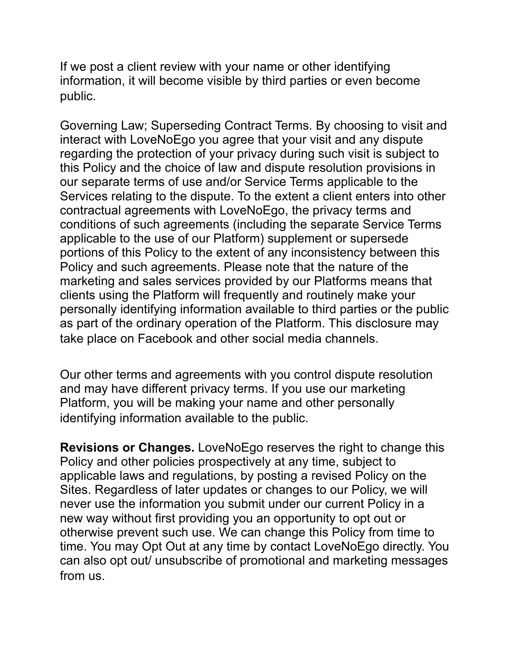If we post a client review with your name or other identifying information, it will become visible by third parties or even become public.

Governing Law; Superseding Contract Terms. By choosing to visit and interact with LoveNoEgo you agree that your visit and any dispute regarding the protection of your privacy during such visit is subject to this Policy and the choice of law and dispute resolution provisions in our separate terms of use and/or Service Terms applicable to the Services relating to the dispute. To the extent a client enters into other contractual agreements with LoveNoEgo, the privacy terms and conditions of such agreements (including the separate Service Terms applicable to the use of our Platform) supplement or supersede portions of this Policy to the extent of any inconsistency between this Policy and such agreements. Please note that the nature of the marketing and sales services provided by our Platforms means that clients using the Platform will frequently and routinely make your personally identifying information available to third parties or the public as part of the ordinary operation of the Platform. This disclosure may take place on Facebook and other social media channels.

Our other terms and agreements with you control dispute resolution and may have different privacy terms. If you use our marketing Platform, you will be making your name and other personally identifying information available to the public.

**Revisions or Changes.** LoveNoEgo reserves the right to change this Policy and other policies prospectively at any time, subject to applicable laws and regulations, by posting a revised Policy on the Sites. Regardless of later updates or changes to our Policy, we will never use the information you submit under our current Policy in a new way without first providing you an opportunity to opt out or otherwise prevent such use. We can change this Policy from time to time. You may Opt Out at any time by contact LoveNoEgo directly. You can also opt out/ unsubscribe of promotional and marketing messages from us.